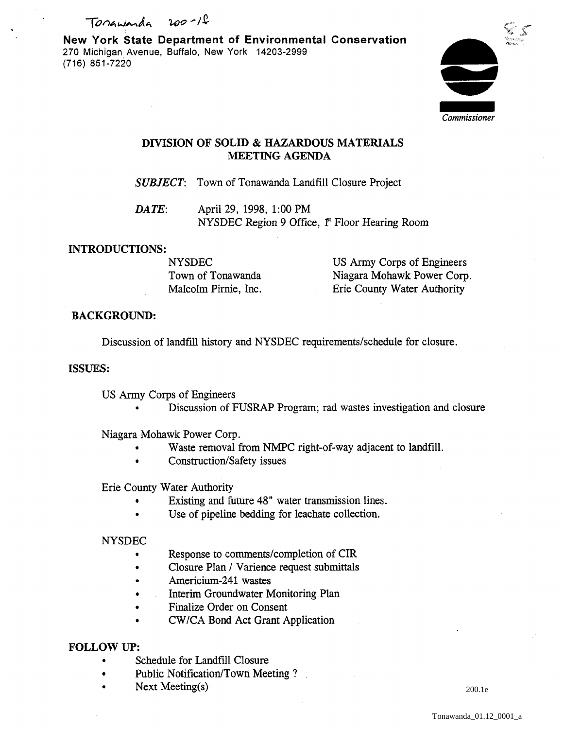Tonawarda 200-1<del>2</del>

New York State Department of Environmental Conservation 270 Michigan Avenue, Buffalo, New York 14203-2999 (716) 851-7220



## DIVISION OF SOLID & HAZARDOUS MATERIALS MEETING AGENDA

*SUBJECT:* Town of Tonawanda Landfill Closure Project

*DATE:* April 29, 1998, 1:00 PM NYSDEC Region 9 Office, <sup>pt</sup> Floor Hearing Room

## INTRODUCTIONS:

NYSDEC Town of Tonawanda Malcolm Pirnie, Inc.

US Army Corps of Engineers Niagara Mohawk Power Corp. Erie County Water Authority

## BACKGROUND:

Discussion of landfill history and NYSDEC requirements/schedule for closure.

### ISSUES:

US Army Corps of Engineers

• Discussion of FUSRAP Program; rad wastes investigation and closure

Niagara Mohawk Power Corp.

- Waste removal from NMPC right-of-way adjacent to landfill.
- Construction/Safety issues

Erie County Water Authority

- Existing and future 48" water transmission lines.
- Use of pipeline bedding for leachate collection.

### NYSDEC

- Response to comments/completion of CIR
- Closure Plan / Varience request submittals
- Americium-241 wastes
- Interim Groundwater Monitoring Plan
- Finalize Order on Consent
- CW /CA Bond Act Grant Application

## FOLLOW UP:

- Schedule for Landfill Closure
- Public Notification/Town Meeting?
- Next Meeting(s)

200.1e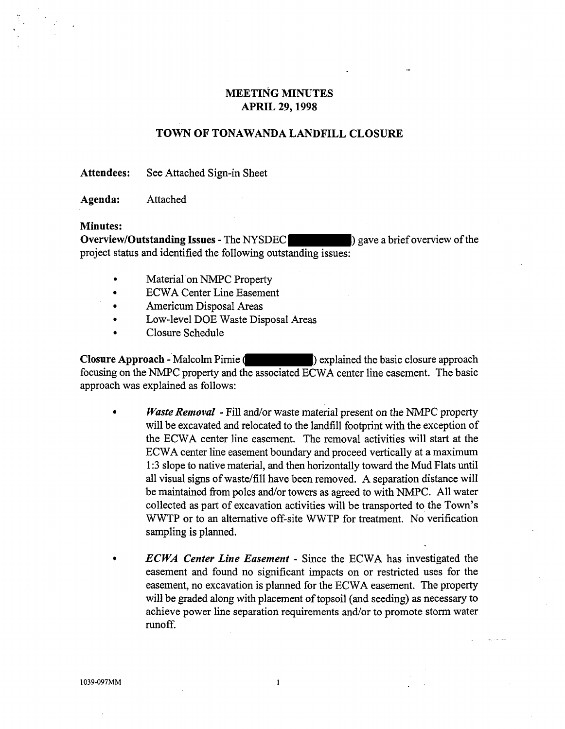## MEETING MINUTES APRIL 29,1998

### TOWN OF TONAWANDA LANDFILL CLOSURE

Attendees: See Attached Sign-in Sheet

Agenda: Attached

#### Minutes:

Overview/Outstanding Issues - The NYSDEC (2008) gave a brief overview of the project status and identified the following outstanding issues:

- Material on NMPC Property
- ECW A Center Line Easement
- Americum Disposal Areas
- Low-level DOE Waste Disposal Areas
- Closure Schedule

Closure Approach - Malcolm Pirnie ( ) explained the basic closure approach focusing on the NMPC property and the associated ECWA center line easement. The basic approach was explained as follows:

- *Waste Removal* -Fill and/or waste material present on the NMPC property will be excavated and relocated to the landfill footprint with the exception of the ECW A center line easement. The removal activities will start at the ECW A center line easement boundary and proceed vertically at a maximum 1 :3 slope to native material, and then horizontally toward the Mud Flats until all visual signs of waste/fill have been removed. A separation distance will be maintained from poles and/or towers as agreed to with NMPC. All water collected as part of excavation activities will be transported to the Town's WWTP or to an alternative off-site WWTP for treatment. No verification sampling is planned.
	- *ECWA Center Line Easement*  Since the ECWA has investigated the easement and found no significant impacts on or restricted uses for the easement, no excavation is planned for the ECWA easement. The property will be graded along with placement of topsoil (and seeding) as necessary to achieve power line separation requirements and/or to promote storm water runoff.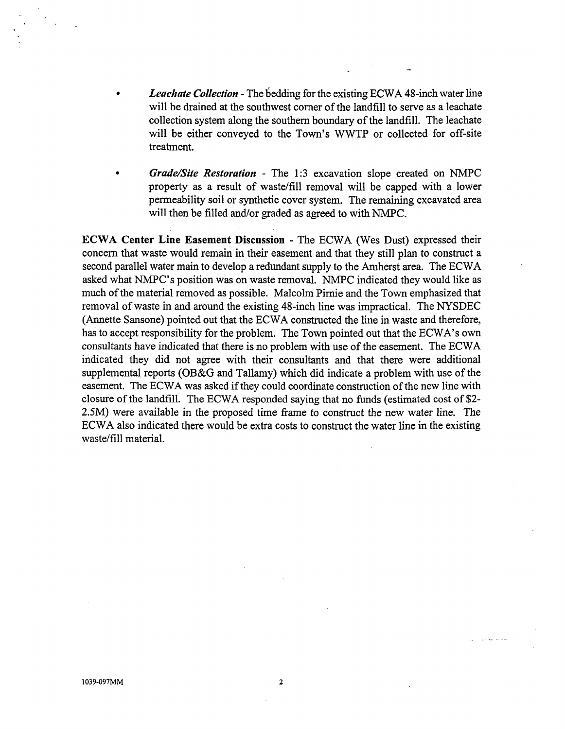- *Leachate Collection* -The bedding for the existing ECWA 48-inch water line will be drained at the southwest corner of the landfill to serve as a leachate collection system along the southern boundary of the landfill. The leachate will be either conveyed to the Town's WWTP or collected for off-site treatment.
- *Grade/Site Restoration*  The 1 :3 excavation slope created on NMPC property as a result of waste/fill removal will be capped with a lower permeability soil or synthetic cover system. The remaining excavated area will then be filled and/or graded as agreed to with NMPC.

ECWA Center Line Easement Discussion - The ECWA (Wes Dust) expressed their concern that waste would remain in their easement and that they still plan to construct a second parallel water main to develop a redundant supply to the Amherst area. The ECW A asked what NMPC's position was on waste removal. NMPC indicated they would like as much of the material removed as possible. Malcolm Pirnie and the Town emphasized that removal of waste in and around the existing 48-inch line was impractical. The NYSDEC (Annette Sansone) pointed out that the ECWA constructed the line in waste and therefore, has to accept responsibility for the problem. The Town pointed out that the ECWA's own consultants have indicated that there is no problem with use of the easement. The ECW A indicated they did not agree with their consultants and that there were additional supplemental reports (OB&G and Tallamy) which did indicate a problem with use of the easement. The ECWA was asked if they could coordinate construction of the new line with closure of the landfill. The ECW A responded saying that no funds (estimated cost of \$2- 2.5M) were available in the proposed time frame to construct the new water line. The ECW A also indicated there would be extra costs to construct the water line in the existing waste/fill material.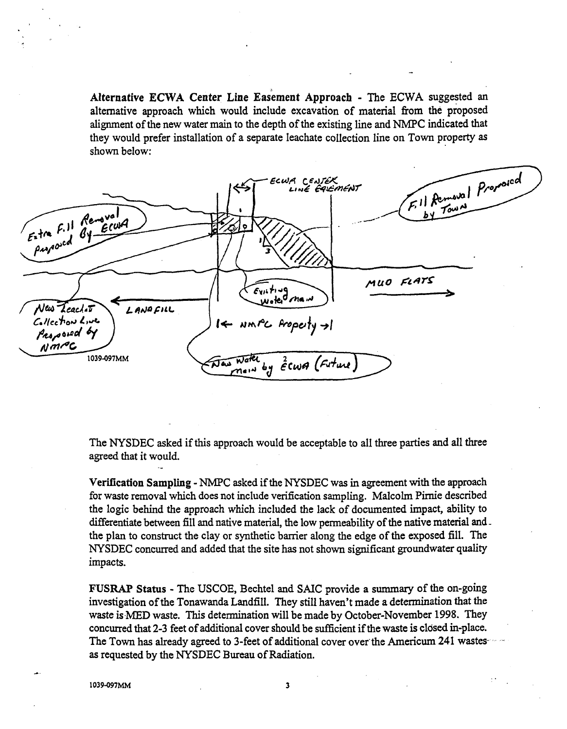Alternative ECWA Center Line Easement Approach - The ECWA suggested an alternative approach which would include excavation of material from the proposed alignment of the new water main to the depth of the existing line and NMPC indicated that they would prefer installation of a separate leachate collection line on Town property as shown below:



The NYSDEC asked if this approach would be acceptable to all three parties and all three agreed that it would.

Verification Sampling- NMPC asked if the NYSDEC was in agreement with the approach for waste removal which does not include verification sampling. Malcolm Pirnie described the logic behind the approach which included the lack of documented impact, ability to differentiate between fill and native material, the low permeability of the native material andthe plan to construct the clay or synthetic barrier along the edge of the exposed fill. The NYSDEC concurred and added that the site has not shown significant groundwater quality impacts.

FUSRAP Status - The USCOE, Bechtel and SAIC provide a summary of the on-going investigation of the Tonawanda Landfill. They still haven't made a determination that the waste is MED waste. This determination will be made by October-November 1998. They concurred that 2-3 feet of additional cover should be sufficient if the waste is closed in-place. The Town has already agreed to 3-feet of additional cover over the Americum 241 wastesas requested by the NYSDEC Bureau of Radiation.

1039-097MM 3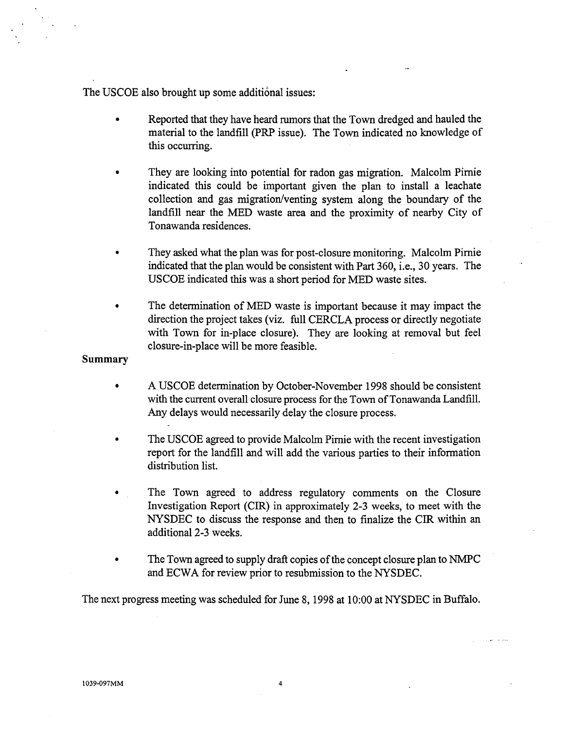The USCOE also brought up some additional issues:

- Reported that they have heard rumors that the Town dredged and hauled the material to the landfill (PRP issue). The Town indicated no knowledge of this occurring.
- They are looking into potential for radon gas migration. Malcolm Pimie indicated this could be important given the plan to install a leachate collection and gas migration/venting system along the boundary of the landfill near the MED waste area and the proximity of nearby City of Tonawanda residences.
- They asked what the plan was for post-closure monitoring. Malcolm Pirnie indicated that the plan would be consistent with Part 360, i.e., 30 years. The USCOE indicated this was a short period for MED waste sites.
- The determination of MED waste is important because it may impact the direction the project takes (viz. full CERCLA process or directly negotiate with Town for in-place closure). They are looking at removal but feel closure-in-place will be more feasible.

### **Summary**

- A USCOE determination by October-November 1998 should be consistent with the current overall closure process for the Town of Tonawanda Landfill. Any delays would necessarily delay the closure process.
- The USCOE agreed to provide Malcolm Pirnie with the recent investigation report for the landfill and will add the various parties to their information distribution list.
- The Town agreed to address regulatory comments on the Closure Investigation Report (CIR) in approximately 2-3 weeks, to meet with the NYSDEC to discuss the response and then to finalize the CIR within an additional 2-3 weeks.
- The Town agreed to supply draft copies of the concept closure plan to NMPC and ECWA for review prior to resubmission to the NYSDEC.

The next progress meeting was scheduled for June 8, 1998 at 10:00 at NYSDEC in Buffalo.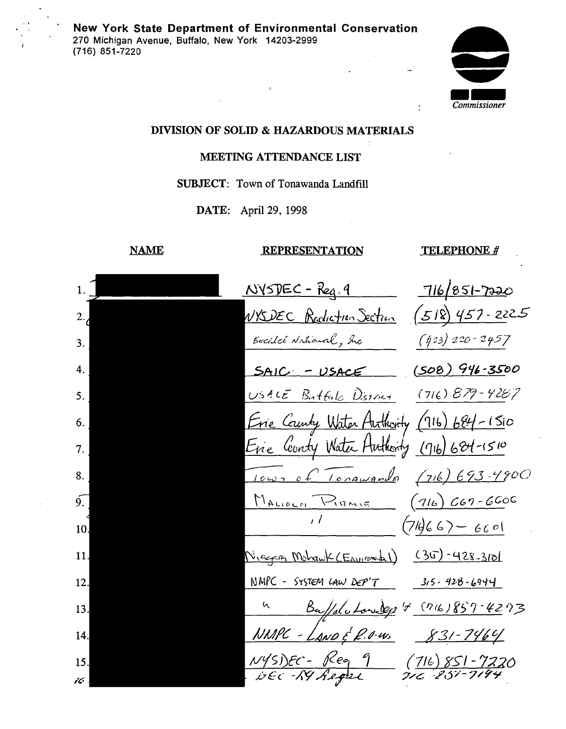

# DIVISION OF SOLID & HAZARDOUS MATERIALS

# MEETING ATTENDANCE LIST

## SUBJECT: Town of Tonawanda Landfill

DATE: April 29, 1998

## NAME

# **REPRESENTATION**

### TELEPHONE#

 $\ddot{\Sigma}$ 

| 1.1              | $N\sqrt{5DE}C - Reg.9$                     | 716/851-7220                         |
|------------------|--------------------------------------------|--------------------------------------|
| 2.7              | VYSDEC Radiation Section                   | $(518)$ 457-2225                     |
| 3.               | Becilci National, Inc                      | $(423)$ 220-2457                     |
|                  | $SAIC = USACE$                             | $(508)946 - 3500$                    |
| 5.               | USALE Butfold District                     | $(716) B79 - 4287$                   |
| 6.               | Erie County Water Authority (116) 684-1510 |                                      |
| 7.               | Erie Conty Water Huthorty (11b) 684-1510   |                                      |
| 8.               | <u>Icus of Tongwards</u> (716) 693-4900    |                                      |
| $\overline{9}$ . | MALLOCH PIRAIR (16) CG7-6606               |                                      |
| 10.              |                                            |                                      |
| 11.              | Nicera Mohawk (Environt)                   | $(30 - 428 - 310)$                   |
| 12.              | NMPC - SYSTEM LAW DEP'T                    | $315.428 - 6944$                     |
| 13.              | 4 Ba/do Low 2p 4 (716) 857-4273            |                                      |
| 14.              | NMPC - LANDE P.O.W.                        | $831 - 7464$                         |
| 15.              | NYS)EC - Rea 9<br>DEC - RY Regist          | (716) 851 - 7220<br>716 - 251 - 7194 |
|                  |                                            |                                      |